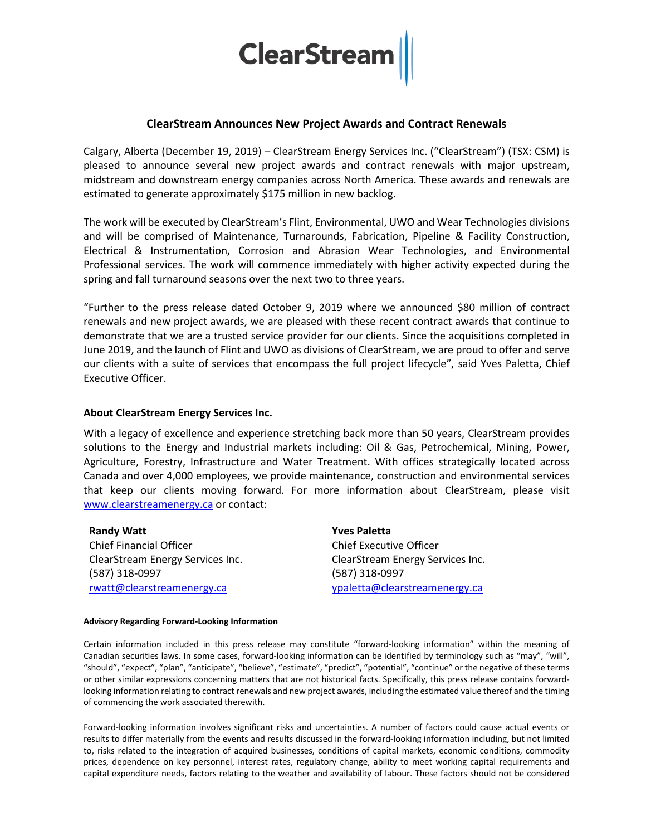

## **ClearStream Announces New Project Awards and Contract Renewals**

Calgary, Alberta (December 19, 2019) – ClearStream Energy Services Inc. ("ClearStream") (TSX: CSM) is pleased to announce several new project awards and contract renewals with major upstream, midstream and downstream energy companies across North America. These awards and renewals are estimated to generate approximately \$175 million in new backlog.

The work will be executed by ClearStream's Flint, Environmental, UWO and Wear Technologies divisions and will be comprised of Maintenance, Turnarounds, Fabrication, Pipeline & Facility Construction, Electrical & Instrumentation, Corrosion and Abrasion Wear Technologies, and Environmental Professional services. The work will commence immediately with higher activity expected during the spring and fall turnaround seasons over the next two to three years.

"Further to the press release dated October 9, 2019 where we announced \$80 million of contract renewals and new project awards, we are pleased with these recent contract awards that continue to demonstrate that we are a trusted service provider for our clients. Since the acquisitions completed in June 2019, and the launch of Flint and UWO as divisions of ClearStream, we are proud to offer and serve our clients with a suite of services that encompass the full project lifecycle", said Yves Paletta, Chief Executive Officer.

## **About ClearStream Energy Services Inc.**

With a legacy of excellence and experience stretching back more than 50 years, ClearStream provides solutions to the Energy and Industrial markets including: Oil & Gas, Petrochemical, Mining, Power, Agriculture, Forestry, Infrastructure and Water Treatment. With offices strategically located across Canada and over 4,000 employees, we provide maintenance, construction and environmental services that keep our clients moving forward. For more information about ClearStream, please visit [www.clearstreamenergy.ca](http://www.clearstreamenergy.ca/) or contact:

**Randy Watt** Chief Financial Officer ClearStream Energy Services Inc. (587) 318-0997 [rwatt@clearstreamenergy.ca](mailto:rwatt@clearstreamenergy.ca)

**Yves Paletta** Chief Executive Officer ClearStream Energy Services Inc. (587) 318-0997 [ypaletta@clearstreamenergy.ca](mailto:ypaletta@clearstreamenergy.ca)

## **Advisory Regarding Forward-Looking Information**

Certain information included in this press release may constitute "forward-looking information" within the meaning of Canadian securities laws. In some cases, forward-looking information can be identified by terminology such as "may", "will", "should", "expect", "plan", "anticipate", "believe", "estimate", "predict", "potential", "continue" or the negative of these terms or other similar expressions concerning matters that are not historical facts. Specifically, this press release contains forwardlooking information relating to contract renewals and new project awards, including the estimated value thereof and the timing of commencing the work associated therewith.

Forward-looking information involves significant risks and uncertainties. A number of factors could cause actual events or results to differ materially from the events and results discussed in the forward-looking information including, but not limited to, risks related to the integration of acquired businesses, conditions of capital markets, economic conditions, commodity prices, dependence on key personnel, interest rates, regulatory change, ability to meet working capital requirements and capital expenditure needs, factors relating to the weather and availability of labour. These factors should not be considered